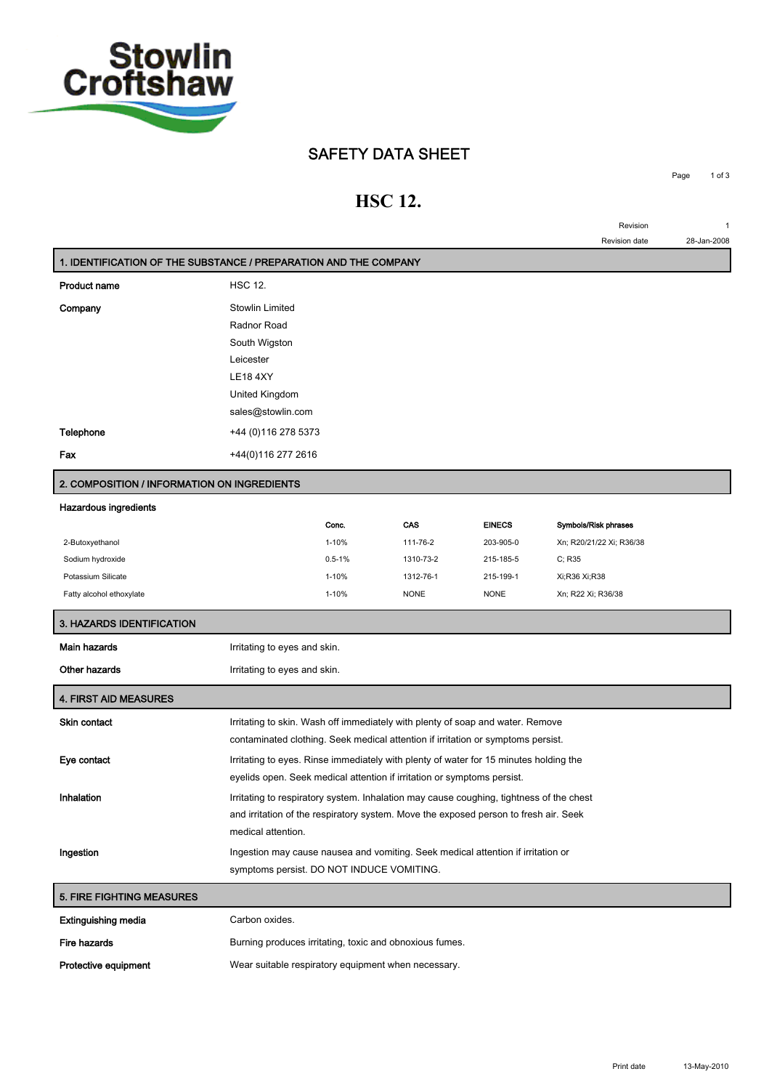

## **SAFETY DATA SHEET**

## **HSC 12.**

**Page 1 of 3**

**Revision 1 Revision date 28-Jan-2008**

| 1. IDENTIFICATION OF THE SUBSTANCE / PREPARATION AND THE COMPANY |                                                                                                                                                                    |                                                     |             |               |                          |
|------------------------------------------------------------------|--------------------------------------------------------------------------------------------------------------------------------------------------------------------|-----------------------------------------------------|-------------|---------------|--------------------------|
| <b>Product name</b>                                              | <b>HSC 12.</b>                                                                                                                                                     |                                                     |             |               |                          |
| Company                                                          | Stowlin Limited<br>Radnor Road<br>South Wigston<br>Leicester<br><b>LE18 4XY</b><br>United Kingdom<br>sales@stowlin.com                                             |                                                     |             |               |                          |
| Telephone                                                        | +44 (0) 116 278 5373                                                                                                                                               |                                                     |             |               |                          |
| Fax                                                              | +44(0)116 277 2616                                                                                                                                                 |                                                     |             |               |                          |
| 2. COMPOSITION / INFORMATION ON INGREDIENTS                      |                                                                                                                                                                    |                                                     |             |               |                          |
| Hazardous ingredients                                            |                                                                                                                                                                    |                                                     |             |               |                          |
|                                                                  |                                                                                                                                                                    | Conc.                                               | CAS         | <b>EINECS</b> | Symbols/Risk phrases     |
| 2-Butoxyethanol                                                  |                                                                                                                                                                    | $1 - 10%$                                           | 111-76-2    | 203-905-0     | Xn; R20/21/22 Xi; R36/38 |
| Sodium hydroxide                                                 |                                                                                                                                                                    | $0.5 - 1%$                                          | 1310-73-2   | 215-185-5     | C; R35                   |
| Potassium Silicate                                               |                                                                                                                                                                    | $1 - 10%$                                           | 1312-76-1   | 215-199-1     | Xi;R36 Xi;R38            |
| Fatty alcohol ethoxylate                                         |                                                                                                                                                                    | 1-10%                                               | <b>NONE</b> | <b>NONE</b>   | Xn; R22 Xi; R36/38       |
| 3. HAZARDS IDENTIFICATION                                        |                                                                                                                                                                    |                                                     |             |               |                          |
| Main hazards                                                     | Irritating to eyes and skin.                                                                                                                                       |                                                     |             |               |                          |
| <b>Other hazards</b>                                             | Irritating to eyes and skin.                                                                                                                                       |                                                     |             |               |                          |
| <b>4. FIRST AID MEASURES</b>                                     |                                                                                                                                                                    |                                                     |             |               |                          |
| <b>Skin contact</b>                                              | Irritating to skin. Wash off immediately with plenty of soap and water. Remove<br>contaminated clothing. Seek medical attention if irritation or symptoms persist. |                                                     |             |               |                          |
| Eye contact                                                      |                                                                                                                                                                    |                                                     |             |               |                          |
|                                                                  | Irritating to eyes. Rinse immediately with plenty of water for 15 minutes holding the<br>eyelids open. Seek medical attention if irritation or symptoms persist.   |                                                     |             |               |                          |
| Inhalation                                                       | Irritating to respiratory system. Inhalation may cause coughing, tightness of the chest                                                                            |                                                     |             |               |                          |
|                                                                  | and irritation of the respiratory system. Move the exposed person to fresh air. Seek<br>medical attention.                                                         |                                                     |             |               |                          |
| Ingestion                                                        | Ingestion may cause nausea and vomiting. Seek medical attention if irritation or                                                                                   |                                                     |             |               |                          |
|                                                                  | symptoms persist. DO NOT INDUCE VOMITING.                                                                                                                          |                                                     |             |               |                          |
| 5. FIRE FIGHTING MEASURES                                        |                                                                                                                                                                    |                                                     |             |               |                          |
| <b>Extinguishing media</b>                                       | Carbon oxides.                                                                                                                                                     |                                                     |             |               |                          |
| Fire hazards                                                     | Burning produces irritating, toxic and obnoxious fumes.                                                                                                            |                                                     |             |               |                          |
| Protective equipment                                             |                                                                                                                                                                    | Wear suitable respiratory equipment when necessary. |             |               |                          |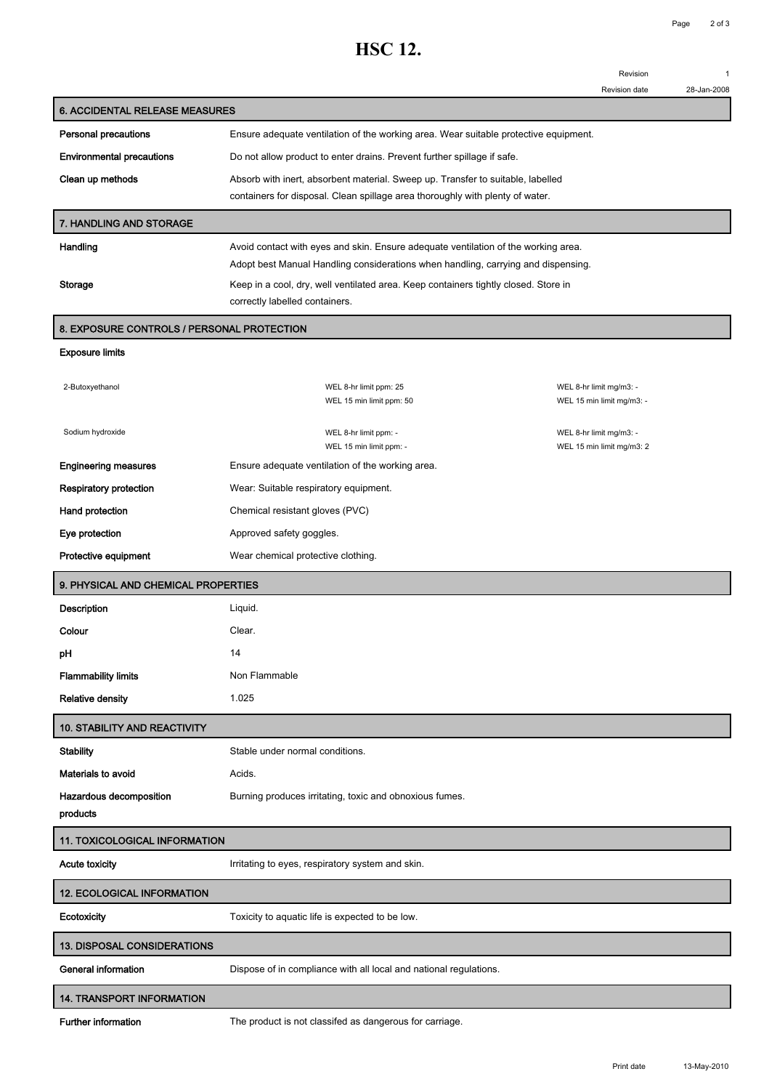## **HSC 12.**

**Revision 1**

|                                            |                                                                                                                       | <b>Revision date</b>      | 28-Jan-2008 |
|--------------------------------------------|-----------------------------------------------------------------------------------------------------------------------|---------------------------|-------------|
| 6. ACCIDENTAL RELEASE MEASURES             |                                                                                                                       |                           |             |
| <b>Personal precautions</b>                | Ensure adequate ventilation of the working area. Wear suitable protective equipment.                                  |                           |             |
| <b>Environmental precautions</b>           | Do not allow product to enter drains. Prevent further spillage if safe.                                               |                           |             |
| Clean up methods                           | Absorb with inert, absorbent material. Sweep up. Transfer to suitable, labelled                                       |                           |             |
|                                            | containers for disposal. Clean spillage area thoroughly with plenty of water.                                         |                           |             |
| 7. HANDLING AND STORAGE                    |                                                                                                                       |                           |             |
| Handling                                   | Avoid contact with eyes and skin. Ensure adequate ventilation of the working area.                                    |                           |             |
|                                            | Adopt best Manual Handling considerations when handling, carrying and dispensing.                                     |                           |             |
| Storage                                    | Keep in a cool, dry, well ventilated area. Keep containers tightly closed. Store in<br>correctly labelled containers. |                           |             |
|                                            |                                                                                                                       |                           |             |
| 8. EXPOSURE CONTROLS / PERSONAL PROTECTION |                                                                                                                       |                           |             |
| <b>Exposure limits</b>                     |                                                                                                                       |                           |             |
| 2-Butoxyethanol                            | WEL 8-hr limit ppm: 25                                                                                                | WEL 8-hr limit mg/m3: -   |             |
|                                            | WEL 15 min limit ppm: 50                                                                                              | WEL 15 min limit mg/m3: - |             |
| Sodium hydroxide                           | WEL 8-hr limit ppm: -                                                                                                 | WEL 8-hr limit mg/m3: -   |             |
| <b>Engineering measures</b>                | WEL 15 min limit ppm: -<br>Ensure adequate ventilation of the working area.                                           | WEL 15 min limit mg/m3: 2 |             |
| <b>Respiratory protection</b>              | Wear: Suitable respiratory equipment.                                                                                 |                           |             |
| Hand protection                            | Chemical resistant gloves (PVC)                                                                                       |                           |             |
| Eye protection                             | Approved safety goggles.                                                                                              |                           |             |
| Protective equipment                       | Wear chemical protective clothing.                                                                                    |                           |             |
|                                            |                                                                                                                       |                           |             |
| 9. PHYSICAL AND CHEMICAL PROPERTIES        |                                                                                                                       |                           |             |
| Description<br>Colour                      | Liquid.                                                                                                               |                           |             |
| рH                                         | Clear.                                                                                                                |                           |             |
| <b>Flammability limits</b>                 | 14                                                                                                                    |                           |             |
| <b>Relative density</b>                    | Non Flammable<br>1.025                                                                                                |                           |             |
|                                            |                                                                                                                       |                           |             |
| 10. STABILITY AND REACTIVITY               |                                                                                                                       |                           |             |
| <b>Stability</b>                           | Stable under normal conditions.                                                                                       |                           |             |
| Materials to avoid                         | Acids.                                                                                                                |                           |             |
| Hazardous decomposition<br>products        | Burning produces irritating, toxic and obnoxious fumes.                                                               |                           |             |
| <b>11. TOXICOLOGICAL INFORMATION</b>       |                                                                                                                       |                           |             |
| <b>Acute toxicity</b>                      | Irritating to eyes, respiratory system and skin.                                                                      |                           |             |
| <b>12. ECOLOGICAL INFORMATION</b>          |                                                                                                                       |                           |             |
| Ecotoxicity                                | Toxicity to aquatic life is expected to be low.                                                                       |                           |             |
| 13. DISPOSAL CONSIDERATIONS                |                                                                                                                       |                           |             |
| General information                        | Dispose of in compliance with all local and national regulations.                                                     |                           |             |
| <b>14. TRANSPORT INFORMATION</b>           |                                                                                                                       |                           |             |

**Further information The product is not classifed as dangerous for carriage.**